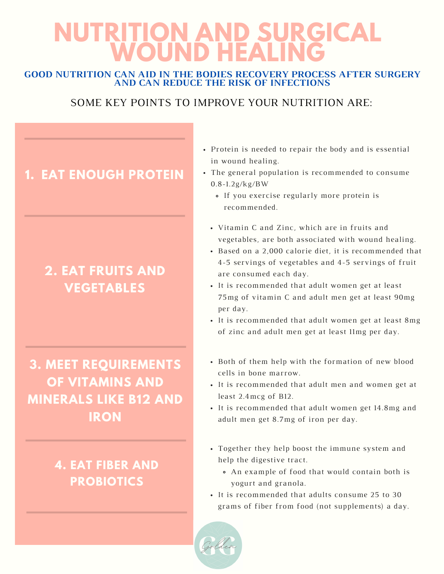# **NUTRITION AND SURGICAL WOUND HEALING**

#### **GOOD NUTRITION CAN AID IN THE BODIES RECOVERY PROCESS AFTER SURGERY AND CAN REDUCE THE RISK OF INFECTIONS**

#### SOME KEY POINTS TO IMPROVE YOUR NUTRITION ARE:

## **1. EAT ENOUGH PROTEIN**

# **2. EAT FRUITS AND VEGETABLES**

# **3. MEET REQUIREMENTS OF VITAMINS AND MINERALS LIKE B12 AND IRON**

### **4. EAT FIBER AND PROBIOTICS**

- Protein is needed to repair the body and is essential in wound healing.
- The general population is recommended to consume 0.8-1.2g/kg/BW
	- If you exercise regularly more protein is recommended.
	- Vitamin C and Zinc, which are in fruits and vegetables, are both associated with wound healing.
	- Based on a 2,000 calorie diet, it is recommended that 4-5 servings of vegetables and 4-5 servings of fruit are consumed each day.
	- It is recommended that adult women get at least 75mg of vitamin C and adult men get at least 90mg per day.
	- It is recommended that adult women get at least 8mg of zinc and adult men get at least 11mg per day.
	- Both of them help with the formation of new blood cells in bone marrow.
	- It is recommended that adult men and women get at least 2.4mcg of B12.
	- It is recommended that adult women get 14.8mg and adult men get 8.7mg of iron per day.
	- Together they help boost the immune system and help the digestive tract.
		- An example of food that would contain both is yogurt and granola.
	- It is recommended that adults consume 25 to 30 grams of fiber from food (not supplements) a day.